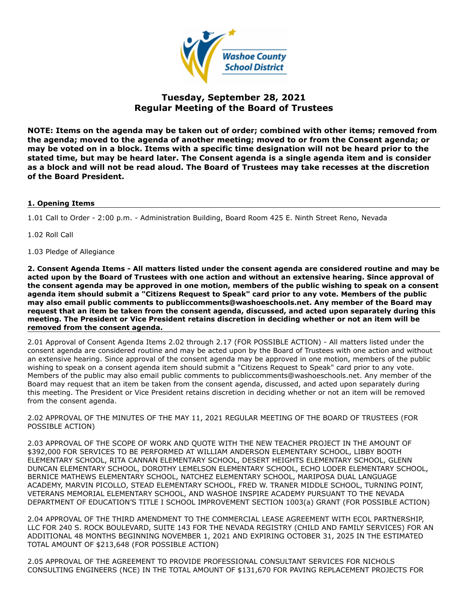

# **Tuesday, September 28, 2021 Regular Meeting of the Board of Trustees**

**NOTE: Items on the agenda may be taken out of order; combined with other items; removed from the agenda; moved to the agenda of another meeting; moved to or from the Consent agenda; or may be voted on in a block. Items with a specific time designation will not be heard prior to the stated time, but may be heard later. The Consent agenda is a single agenda item and is consider as a block and will not be read aloud. The Board of Trustees may take recesses at the discretion of the Board President.**

## **1. Opening Items**

1.01 Call to Order - 2:00 p.m. - Administration Building, Board Room 425 E. Ninth Street Reno, Nevada

1.02 Roll Call

1.03 Pledge of Allegiance

**2. Consent Agenda Items - All matters listed under the consent agenda are considered routine and may be acted upon by the Board of Trustees with one action and without an extensive hearing. Since approval of the consent agenda may be approved in one motion, members of the public wishing to speak on a consent agenda item should submit a "Citizens Request to Speak" card prior to any vote. Members of the public may also email public comments to publiccomments@washoeschools.net. Any member of the Board may request that an item be taken from the consent agenda, discussed, and acted upon separately during this meeting. The President or Vice President retains discretion in deciding whether or not an item will be removed from the consent agenda.**

2.01 Approval of Consent Agenda Items 2.02 through 2.17 (FOR POSSIBLE ACTION) - All matters listed under the consent agenda are considered routine and may be acted upon by the Board of Trustees with one action and without an extensive hearing. Since approval of the consent agenda may be approved in one motion, members of the public wishing to speak on a consent agenda item should submit a "Citizens Request to Speak" card prior to any vote. Members of the public may also email public comments to publiccomments@washoeschools.net. Any member of the Board may request that an item be taken from the consent agenda, discussed, and acted upon separately during this meeting. The President or Vice President retains discretion in deciding whether or not an item will be removed from the consent agenda.

2.02 APPROVAL OF THE MINUTES OF THE MAY 11, 2021 REGULAR MEETING OF THE BOARD OF TRUSTEES (FOR POSSIBLE ACTION)

2.03 APPROVAL OF THE SCOPE OF WORK AND QUOTE WITH THE NEW TEACHER PROJECT IN THE AMOUNT OF \$392,000 FOR SERVICES TO BE PERFORMED AT WILLIAM ANDERSON ELEMENTARY SCHOOL, LIBBY BOOTH ELEMENTARY SCHOOL, RITA CANNAN ELEMENTARY SCHOOL, DESERT HEIGHTS ELEMENTARY SCHOOL, GLENN DUNCAN ELEMENTARY SCHOOL, DOROTHY LEMELSON ELEMENTARY SCHOOL, ECHO LODER ELEMENTARY SCHOOL, BERNICE MATHEWS ELEMENTARY SCHOOL, NATCHEZ ELEMENTARY SCHOOL, MARIPOSA DUAL LANGUAGE ACADEMY, MARVIN PICOLLO, STEAD ELEMENTARY SCHOOL, FRED W. TRANER MIDDLE SCHOOL, TURNING POINT, VETERANS MEMORIAL ELEMENTARY SCHOOL, AND WASHOE INSPIRE ACADEMY PURSUANT TO THE NEVADA DEPARTMENT OF EDUCATION'S TITLE I SCHOOL IMPROVEMENT SECTION 1003(a) GRANT (FOR POSSIBLE ACTION)

2.04 APPROVAL OF THE THIRD AMENDMENT TO THE COMMERCIAL LEASE AGREEMENT WITH ECOL PARTNERSHIP, LLC FOR 240 S. ROCK BOULEVARD, SUITE 143 FOR THE NEVADA REGISTRY (CHILD AND FAMILY SERVICES) FOR AN ADDITIONAL 48 MONTHS BEGINNING NOVEMBER 1, 2021 AND EXPIRING OCTOBER 31, 2025 IN THE ESTIMATED TOTAL AMOUNT OF \$213,648 (FOR POSSIBLE ACTION)

2.05 APPROVAL OF THE AGREEMENT TO PROVIDE PROFESSIONAL CONSULTANT SERVICES FOR NICHOLS CONSULTING ENGINEERS (NCE) IN THE TOTAL AMOUNT OF \$131,670 FOR PAVING REPLACEMENT PROJECTS FOR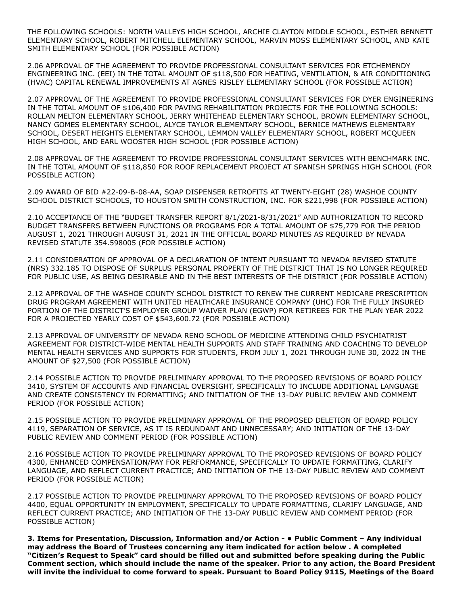THE FOLLOWING SCHOOLS: NORTH VALLEYS HIGH SCHOOL, ARCHIE CLAYTON MIDDLE SCHOOL, ESTHER BENNETT ELEMENTARY SCHOOL, ROBERT MITCHELL ELEMENTARY SCHOOL, MARVIN MOSS ELEMENTARY SCHOOL, AND KATE SMITH ELEMENTARY SCHOOL (FOR POSSIBLE ACTION)

2.06 APPROVAL OF THE AGREEMENT TO PROVIDE PROFESSIONAL CONSULTANT SERVICES FOR ETCHEMENDY ENGINEERING INC. (EEI) IN THE TOTAL AMOUNT OF \$118,500 FOR HEATING, VENTILATION, & AIR CONDITIONING (HVAC) CAPITAL RENEWAL IMPROVEMENTS AT AGNES RISLEY ELEMENTARY SCHOOL (FOR POSSIBLE ACTION)

2.07 APPROVAL OF THE AGREEMENT TO PROVIDE PROFESSIONAL CONSULTANT SERVICES FOR DYER ENGINEERING IN THE TOTAL AMOUNT OF \$106,400 FOR PAVING REHABILITATION PROJECTS FOR THE FOLLOWING SCHOOLS: ROLLAN MELTON ELEMENTARY SCHOOL, JERRY WHITEHEAD ELEMENTARY SCHOOL, BROWN ELEMENTARY SCHOOL, NANCY GOMES ELEMENTARY SCHOOL, ALYCE TAYLOR ELEMENTARY SCHOOL, BERNICE MATHEWS ELEMENTARY SCHOOL, DESERT HEIGHTS ELEMENTARY SCHOOL, LEMMON VALLEY ELEMENTARY SCHOOL, ROBERT MCQUEEN HIGH SCHOOL, AND EARL WOOSTER HIGH SCHOOL (FOR POSSIBLE ACTION)

2.08 APPROVAL OF THE AGREEMENT TO PROVIDE PROFESSIONAL CONSULTANT SERVICES WITH BENCHMARK INC. IN THE TOTAL AMOUNT OF \$118,850 FOR ROOF REPLACEMENT PROJECT AT SPANISH SPRINGS HIGH SCHOOL (FOR POSSIBLE ACTION)

2.09 AWARD OF BID #22-09-B-08-AA, SOAP DISPENSER RETROFITS AT TWENTY-EIGHT (28) WASHOE COUNTY SCHOOL DISTRICT SCHOOLS, TO HOUSTON SMITH CONSTRUCTION, INC. FOR \$221,998 (FOR POSSIBLE ACTION)

2.10 ACCEPTANCE OF THE "BUDGET TRANSFER REPORT 8/1/2021-8/31/2021" AND AUTHORIZATION TO RECORD BUDGET TRANSFERS BETWEEN FUNCTIONS OR PROGRAMS FOR A TOTAL AMOUNT OF \$75,779 FOR THE PERIOD AUGUST 1, 2021 THROUGH AUGUST 31, 2021 IN THE OFFICIAL BOARD MINUTES AS REQUIRED BY NEVADA REVISED STATUTE 354.598005 (FOR POSSIBLE ACTION)

2.11 CONSIDERATION OF APPROVAL OF A DECLARATION OF INTENT PURSUANT TO NEVADA REVISED STATUTE (NRS) 332.185 TO DISPOSE OF SURPLUS PERSONAL PROPERTY OF THE DISTRICT THAT IS NO LONGER REQUIRED FOR PUBLIC USE, AS BEING DESIRABLE AND IN THE BEST INTERESTS OF THE DISTRICT (FOR POSSIBLE ACTION)

2.12 APPROVAL OF THE WASHOE COUNTY SCHOOL DISTRICT TO RENEW THE CURRENT MEDICARE PRESCRIPTION DRUG PROGRAM AGREEMENT WITH UNITED HEALTHCARE INSURANCE COMPANY (UHC) FOR THE FULLY INSURED PORTION OF THE DISTRICT'S EMPLOYER GROUP WAIVER PLAN (EGWP) FOR RETIREES FOR THE PLAN YEAR 2022 FOR A PROJECTED YEARLY COST OF \$543,600.72 (FOR POSSIBLE ACTION)

2.13 APPROVAL OF UNIVERSITY OF NEVADA RENO SCHOOL OF MEDICINE ATTENDING CHILD PSYCHIATRIST AGREEMENT FOR DISTRICT-WIDE MENTAL HEALTH SUPPORTS AND STAFF TRAINING AND COACHING TO DEVELOP MENTAL HEALTH SERVICES AND SUPPORTS FOR STUDENTS, FROM JULY 1, 2021 THROUGH JUNE 30, 2022 IN THE AMOUNT OF \$27,500 (FOR POSSIBLE ACTION)

2.14 POSSIBLE ACTION TO PROVIDE PRELIMINARY APPROVAL TO THE PROPOSED REVISIONS OF BOARD POLICY 3410, SYSTEM OF ACCOUNTS AND FINANCIAL OVERSIGHT, SPECIFICALLY TO INCLUDE ADDITIONAL LANGUAGE AND CREATE CONSISTENCY IN FORMATTING; AND INITIATION OF THE 13-DAY PUBLIC REVIEW AND COMMENT PERIOD (FOR POSSIBLE ACTION)

2.15 POSSIBLE ACTION TO PROVIDE PRELIMINARY APPROVAL OF THE PROPOSED DELETION OF BOARD POLICY 4119, SEPARATION OF SERVICE, AS IT IS REDUNDANT AND UNNECESSARY; AND INITIATION OF THE 13-DAY PUBLIC REVIEW AND COMMENT PERIOD (FOR POSSIBLE ACTION)

2.16 POSSIBLE ACTION TO PROVIDE PRELIMINARY APPROVAL TO THE PROPOSED REVISIONS OF BOARD POLICY 4300, ENHANCED COMPENSATION/PAY FOR PERFORMANCE, SPECIFICALLY TO UPDATE FORMATTING, CLARIFY LANGUAGE, AND REFLECT CURRENT PRACTICE; AND INITIATION OF THE 13-DAY PUBLIC REVIEW AND COMMENT PERIOD (FOR POSSIBLE ACTION)

2.17 POSSIBLE ACTION TO PROVIDE PRELIMINARY APPROVAL TO THE PROPOSED REVISIONS OF BOARD POLICY 4400, EQUAL OPPORTUNITY IN EMPLOYMENT, SPECIFICALLY TO UPDATE FORMATTING, CLARIFY LANGUAGE, AND REFLECT CURRENT PRACTICE; AND INITIATION OF THE 13-DAY PUBLIC REVIEW AND COMMENT PERIOD (FOR POSSIBLE ACTION)

**3. Items for Presentation, Discussion, Information and/or Action - • Public Comment – Any individual may address the Board of Trustees concerning any item indicated for action below . A completed "Citizen's Request to Speak" card should be filled out and submitted before speaking during the Public Comment section, which should include the name of the speaker. Prior to any action, the Board President will invite the individual to come forward to speak. Pursuant to Board Policy 9115, Meetings of the Board**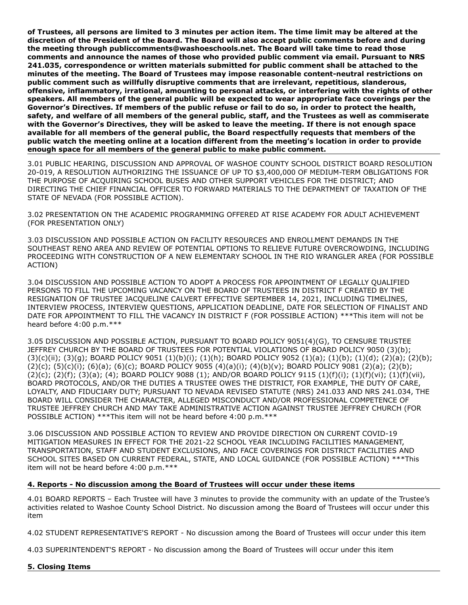**of Trustees, all persons are limited to 3 minutes per action item. The time limit may be altered at the discretion of the President of the Board. The Board will also accept public comments before and during the meeting through publiccomments@washoeschools.net. The Board will take time to read those comments and announce the names of those who provided public comment via email. Pursuant to NRS 241.035, correspondence or written materials submitted for public comment shall be attached to the minutes of the meeting. The Board of Trustees may impose reasonable content-neutral restrictions on public comment such as willfully disruptive comments that are irrelevant, repetitious, slanderous, offensive, inflammatory, irrational, amounting to personal attacks, or interfering with the rights of other speakers. All members of the general public will be expected to wear appropriate face coverings per the Governor's Directives. If members of the public refuse or fail to do so, in order to protect the health, safety, and welfare of all members of the general public, staff, and the Trustees as well as commiserate with the Governor's Directives, they will be asked to leave the meeting. If there is not enough space available for all members of the general public, the Board respectfully requests that members of the public watch the meeting online at a location different from the meeting's location in order to provide enough space for all members of the general public to make public comment.**

3.01 PUBLIC HEARING, DISCUSSION AND APPROVAL OF WASHOE COUNTY SCHOOL DISTRICT BOARD RESOLUTION 20-019, A RESOLUTION AUTHORIZING THE ISSUANCE OF UP TO \$3,400,000 OF MEDIUM-TERM OBLIGATIONS FOR THE PURPOSE OF ACQUIRING SCHOOL BUSES AND OTHER SUPPORT VEHICLES FOR THE DISTRICT; AND DIRECTING THE CHIEF FINANCIAL OFFICER TO FORWARD MATERIALS TO THE DEPARTMENT OF TAXATION OF THE STATE OF NEVADA (FOR POSSIBLE ACTION).

3.02 PRESENTATION ON THE ACADEMIC PROGRAMMING OFFERED AT RISE ACADEMY FOR ADULT ACHIEVEMENT (FOR PRESENTATION ONLY)

3.03 DISCUSSION AND POSSIBLE ACTION ON FACILITY RESOURCES AND ENROLLMENT DEMANDS IN THE SOUTHEAST RENO AREA AND REVIEW OF POTENTIAL OPTIONS TO RELIEVE FUTURE OVERCROWDING, INCLUDING PROCEEDING WITH CONSTRUCTION OF A NEW ELEMENTARY SCHOOL IN THE RIO WRANGLER AREA (FOR POSSIBLE ACTION)

3.04 DISCUSSION AND POSSIBLE ACTION TO ADOPT A PROCESS FOR APPOINTMENT OF LEGALLY QUALIFIED PERSONS TO FILL THE UPCOMING VACANCY ON THE BOARD OF TRUSTEES IN DISTRICT F CREATED BY THE RESIGNATION OF TRUSTEE JACQUELINE CALVERT EFFECTIVE SEPTEMBER 14, 2021, INCLUDING TIMELINES, INTERVIEW PROCESS, INTERVIEW QUESTIONS, APPLICATION DEADLINE, DATE FOR SELECTION OF FINALIST AND DATE FOR APPOINTMENT TO FILL THE VACANCY IN DISTRICT F (FOR POSSIBLE ACTION) \*\*\*This item will not be heard before 4:00 p.m.\*\*\*

3.05 DISCUSSION AND POSSIBLE ACTION, PURSUANT TO BOARD POLICY 9051(4)(G), TO CENSURE TRUSTEE JEFFREY CHURCH BY THE BOARD OF TRUSTEES FOR POTENTIAL VIOLATIONS OF BOARD POLICY 9050 (3)(b); (3)(c)(ii); (3)(g); BOARD POLICY 9051 (1)(b)(i); (1)(h); BOARD POLICY 9052 (1)(a); (1)(b); (1)(d); (2)(a); (2)(b); (2)(c); (5)(c)(i); (6)(a); (6)(c); BOARD POLICY 9055 (4)(a)(i); (4)(b)(v); BOARD POLICY 9081 (2)(a); (2)(b); (2)(c); (2)(f); (3)(a); (4); BOARD POLICY 9088 (1); AND/OR BOARD POLICY 9115 (1)(f)(i); (1)(f)(vi); (1)(f)(vii), BOARD PROTOCOLS, AND/OR THE DUTIES A TRUSTEE OWES THE DISTRICT, FOR EXAMPLE, THE DUTY OF CARE, LOYALTY, AND FIDUCIARY DUTY; PURSUANT TO NEVADA REVISED STATUTE (NRS) 241.033 AND NRS 241.034, THE BOARD WILL CONSIDER THE CHARACTER, ALLEGED MISCONDUCT AND/OR PROFESSIONAL COMPETENCE OF TRUSTEE JEFFREY CHURCH AND MAY TAKE ADMINISTRATIVE ACTION AGAINST TRUSTEE JEFFREY CHURCH (FOR POSSIBLE ACTION) \*\*\*This item will not be heard before 4:00 p.m.\*\*\*

3.06 DISCUSSION AND POSSIBLE ACTION TO REVIEW AND PROVIDE DIRECTION ON CURRENT COVID-19 MITIGATION MEASURES IN EFFECT FOR THE 2021-22 SCHOOL YEAR INCLUDING FACILITIES MANAGEMENT, TRANSPORTATION, STAFF AND STUDENT EXCLUSIONS, AND FACE COVERINGS FOR DISTRICT FACILITIES AND SCHOOL SITES BASED ON CURRENT FEDERAL, STATE, AND LOCAL GUIDANCE (FOR POSSIBLE ACTION) \*\*\*This item will not be heard before 4:00 p.m.\*\*\*

## **4. Reports - No discussion among the Board of Trustees will occur under these items**

4.01 BOARD REPORTS – Each Trustee will have 3 minutes to provide the community with an update of the Trustee's activities related to Washoe County School District. No discussion among the Board of Trustees will occur under this item

4.02 STUDENT REPRESENTATIVE'S REPORT - No discussion among the Board of Trustees will occur under this item

4.03 SUPERINTENDENT'S REPORT - No discussion among the Board of Trustees will occur under this item

## **5. Closing Items**